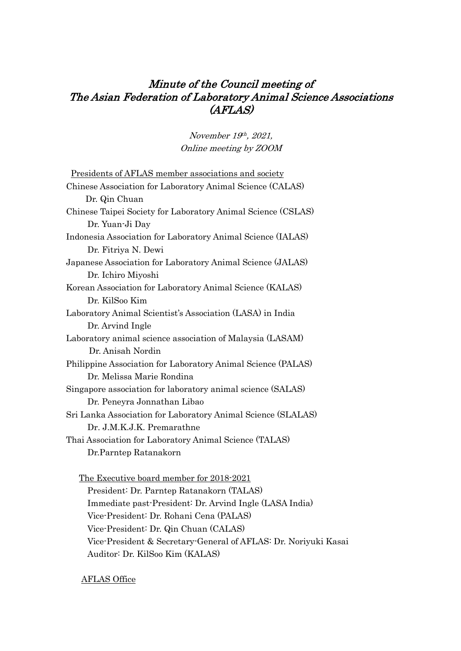# Minute of the Council meeting of The Asian Federation of Laboratory Animal Science Associations (AFLAS)

November 19th, 2021, Online meeting by ZOOM

| <u>Presidents of AFLAS member associations and society</u>   |
|--------------------------------------------------------------|
| Chinese Association for Laboratory Animal Science (CALAS)    |
| Dr. Qin Chuan                                                |
| Chinese Taipei Society for Laboratory Animal Science (CSLAS) |
| Dr. Yuan-Ji Day                                              |
| Indonesia Association for Laboratory Animal Science (IALAS)  |
| Dr. Fitriya N. Dewi                                          |
| Japanese Association for Laboratory Animal Science (JALAS)   |
| Dr. Ichiro Miyoshi                                           |
| Korean Association for Laboratory Animal Science (KALAS)     |
| Dr. KilSoo Kim                                               |
| Laboratory Animal Scientist's Association (LASA) in India    |
| Dr. Arvind Ingle                                             |
| Laboratory animal science association of Malaysia (LASAM)    |
| Dr. Anisah Nordin                                            |
| Philippine Association for Laboratory Animal Science (PALAS) |
| Dr. Melissa Marie Rondina                                    |
| Singapore association for laboratory animal science (SALAS)  |
| Dr. Peneyra Jonnathan Libao                                  |
| Sri Lanka Association for Laboratory Animal Science (SLALAS) |
| Dr. J.M.K.J.K. Premarathne                                   |
| Thai Association for Laboratory Animal Science (TALAS)       |
| Dr.Parntep Ratanakorn                                        |
|                                                              |

The Executive board member for 2018-2021 President: Dr. Parntep Ratanakorn (TALAS) Immediate past-President: Dr. Arvind Ingle (LASA India) Vice-President: Dr. Rohani Cena (PALAS) Vice-President: Dr. Qin Chuan (CALAS) Vice-President & Secretary-General of AFLAS: Dr. Noriyuki Kasai Auditor: Dr. KilSoo Kim (KALAS)

AFLAS Office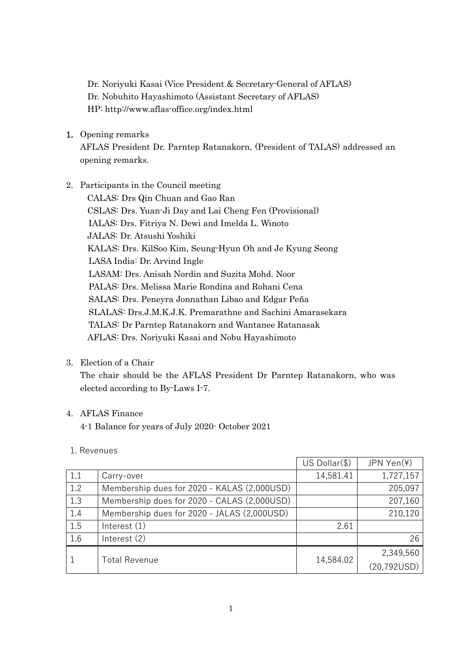Dr. Noriyuki Kasai (Vice President & Secretary-General of AFLAS) Dr. Nobuhito Hayashimoto (Assistant Secretary of AFLAS) HP: http://www.aflas-office.org/index.html

1. Opening remarks

AFLAS President Dr. Parntep Ratanakorn, (President of TALAS) addressed an opening remarks.

- 2. Participants in the Council meeting
	- CALAS: Drs Qin Chuan and Gao Ran CSLAS: Drs. Yuan-Ji Day and Lai Cheng Fen (Provisional) IALAS: Drs. Fitriya N. Dewi and Imelda L. Winoto JALAS: Dr. Atsushi Yoshiki KALAS: Drs. KilSoo Kim, Seung-Hyun Oh and Je Kyung Seong LASA India: Dr. Arvind Ingle LASAM: Drs. Anisah Nordin and Suzita Mohd. Noor PALAS: Drs. Melissa Marie Rondina and Rohani Cena SALAS: Drs. Peneyra Jonnathan Libao and Edgar Peña SLALAS: Drs.J.M.K.J.K. Premarathne and Sachini Amarasekara TALAS: Dr Parntep Ratanakorn and Wantanee Ratanasak AFLAS: Drs. Noriyuki Kasai and Nobu Hayashimoto
- 3. Election of a Chair

The chair should be the AFLAS President Dr Parntep Ratanakorn, who was elected according to By-Laws I-7.

# 4. AFLAS Finance

4-1 Balance for years of July 2020- October 2021

# 1. Revenues

|     |                                             | $US$ Dollar $(\$)$ | JPN Yen(¥)   |
|-----|---------------------------------------------|--------------------|--------------|
| 1.1 | Carry-over                                  | 14,581.41          | 1,727,157    |
| 1.2 | Membership dues for 2020 - KALAS (2,000USD) |                    | 205,097      |
| 1.3 | Membership dues for 2020 - CALAS (2,000USD) |                    | 207,160      |
| 1.4 | Membership dues for 2020 - JALAS (2,000USD) |                    | 210,120      |
| 1.5 | Interest $(1)$                              | 2.61               |              |
| 1.6 | Interest $(2)$                              |                    | 26           |
|     | <b>Total Revenue</b>                        | 14,584.02          | 2,349,560    |
|     |                                             |                    | (20, 792USD) |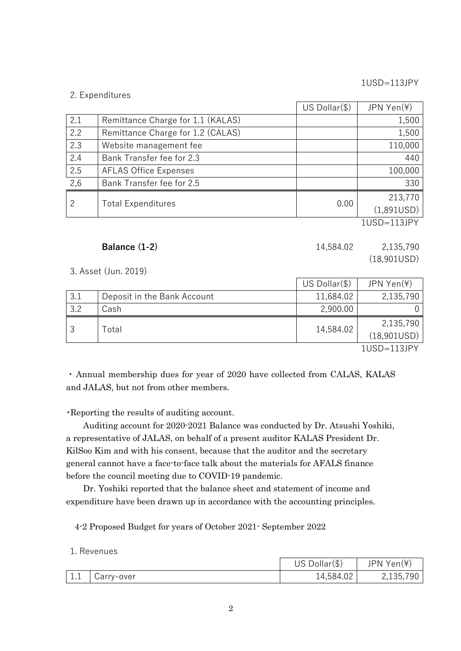1USD=113JPY

#### 2. Expenditures

|                |                                   | $US$ Dollar $(\$)$ | JPN Yen(¥)  |
|----------------|-----------------------------------|--------------------|-------------|
| 2.1            | Remittance Charge for 1.1 (KALAS) |                    | 1,500       |
| 2.2            | Remittance Charge for 1.2 (CALAS) |                    | 1,500       |
| 2.3            | Website management fee            |                    | 110,000     |
| 2.4            | Bank Transfer fee for 2.3         |                    | 440         |
| 2.5            | <b>AFLAS Office Expenses</b>      |                    | 100,000     |
| 2,6            | Bank Transfer fee for 2.5         |                    | 330         |
| $\overline{2}$ | <b>Total Expenditures</b>         | 0.00               | 213,770     |
|                |                                   |                    | (1,891USD)  |
|                |                                   |                    | 1USD=113JPY |

3. Asset (Jun. 2019)

|                  |                             | US Dollar(\$) | JPN Yen(\)               |
|------------------|-----------------------------|---------------|--------------------------|
| 3.1              | Deposit in the Bank Account | 11,684.02     | 2,135,790                |
| 3.2              | Cash                        | 2,900.00      |                          |
|                  | Total                       | 14,584.02     | 2,135,790<br>(18,901USD) |
| $11100 - 110101$ |                             |               |                          |

1USD=113JPY

(18,901USD)

・ Annual membership dues for year of 2020 have collected from CALAS, KALAS and JALAS, but not from other members.

・Reporting the results of auditing account.

Auditing account for 2020-2021 Balance was conducted by Dr. Atsushi Yoshiki, a representative of JALAS, on behalf of a present auditor KALAS President Dr. KilSoo Kim and with his consent, because that the auditor and the secretary general cannot have a face-to-face talk about the materials for AFALS finance before the council meeting due to COVID-19 pandemic.

Dr. Yoshiki reported that the balance sheet and statement of income and expenditure have been drawn up in accordance with the accounting principles.

4-2 Proposed Budget for years of October 2021- September 2022

#### 1. Revenues

|                       |            | $US$ Dollar $(\$)$ | JPN Yen(¥) |
|-----------------------|------------|--------------------|------------|
| $\overline{ }$<br>1.1 | Carry-over | 14,584.02          | 2,135,790  |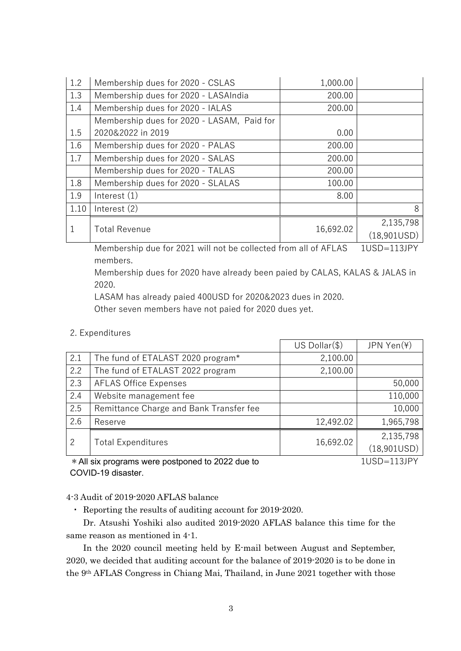| 1.2  | Membership dues for 2020 - CSLAS           | 1,000.00  |                          |
|------|--------------------------------------------|-----------|--------------------------|
| 1.3  | Membership dues for 2020 - LASAIndia       | 200.00    |                          |
| 1.4  | Membership dues for 2020 - IALAS           | 200.00    |                          |
|      | Membership dues for 2020 - LASAM, Paid for |           |                          |
| 1.5  | 2020&2022 in 2019                          | 0.00      |                          |
| 1.6  | Membership dues for 2020 - PALAS           | 200.00    |                          |
| 1.7  | Membership dues for 2020 - SALAS           | 200.00    |                          |
|      | Membership dues for 2020 - TALAS           | 200.00    |                          |
| 1.8  | Membership dues for 2020 - SLALAS          | 100.00    |                          |
| 1.9  | Interest $(1)$                             | 8.00      |                          |
| 1.10 | Interest $(2)$                             |           | 8                        |
|      | <b>Total Revenue</b>                       | 16,692.02 | 2,135,798<br>(18,901USD) |

Membership due for 2021 will not be collected from all of AFLAS members. 1USD=113JPY

Membership dues for 2020 have already been paied by CALAS, KALAS & JALAS in 2020.

LASAM has already paied 400USD for 2020&2023 dues in 2020.

Other seven members have not paied for 2020 dues yet.

2. Expenditures

|                                                  |                                         | $US$ Dollar $(\$)$ | JPN Yen(¥)  |
|--------------------------------------------------|-----------------------------------------|--------------------|-------------|
| 2.1                                              | The fund of ETALAST 2020 program*       | 2,100.00           |             |
| 2.2                                              | The fund of ETALAST 2022 program        | 2,100.00           |             |
| 2.3                                              | <b>AFLAS Office Expenses</b>            |                    | 50,000      |
| 2.4                                              | Website management fee                  |                    | 110,000     |
| 2.5                                              | Remittance Charge and Bank Transfer fee |                    | 10,000      |
| 2.6                                              | Reserve                                 | 12,492.02          | 1,965,798   |
| $\overline{2}$                                   | <b>Total Expenditures</b>               | 16,692.02          | 2,135,798   |
|                                                  |                                         |                    | (18,901USD) |
| * All six programs were postponed to 2022 due to |                                         |                    | 1USD=113JPY |

\*All six programs were postponed to 2022 due to COVID-19 disaster.

4-3 Audit of 2019-2020 AFLAS balance

・ Reporting the results of auditing account for 2019-2020.

Dr. Atsushi Yoshiki also audited 2019-2020 AFLAS balance this time for the same reason as mentioned in 4-1.

In the 2020 council meeting held by E-mail between August and September, 2020, we decided that auditing account for the balance of 2019-2020 is to be done in the 9th AFLAS Congress in Chiang Mai, Thailand, in June 2021 together with those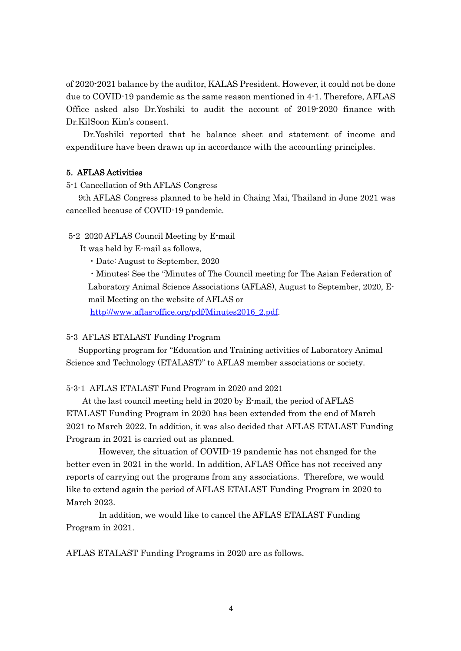of 2020-2021 balance by the auditor, KALAS President. However, it could not be done due to COVID-19 pandemic as the same reason mentioned in 4-1. Therefore, AFLAS Office asked also Dr.Yoshiki to audit the account of 2019-2020 finance with Dr.KilSoon Kim's consent.

Dr.Yoshiki reported that he balance sheet and statement of income and expenditure have been drawn up in accordance with the accounting principles.

#### 5. AFLAS Activities

5-1 Cancellation of 9th AFLAS Congress

9th AFLAS Congress planned to be held in Chaing Mai, Thailand in June 2021 was cancelled because of COVID-19 pandemic.

5-2 2020 AFLAS Council Meeting by E-mail

It was held by E-mail as follows,

・Date: August to September, 2020

・Minutes: See the "Minutes of The Council meeting for The Asian Federation of Laboratory Animal Science Associations (AFLAS), August to September, 2020, Email Meeting on the website of AFLAS or

http://www.aflas-office.org/pdf/Minutes2016\_2.pdf.

#### 5-3 AFLAS ETALAST Funding Program

Supporting program for "Education and Training activities of Laboratory Animal Science and Technology (ETALAST)" to AFLAS member associations or society.

#### 5-3-1 AFLAS ETALAST Fund Program in 2020 and 2021

At the last council meeting held in 2020 by E-mail, the period of AFLAS ETALAST Funding Program in 2020 has been extended from the end of March 2021 to March 2022. In addition, it was also decided that AFLAS ETALAST Funding Program in 2021 is carried out as planned.

However, the situation of COVID-19 pandemic has not changed for the better even in 2021 in the world. In addition, AFLAS Office has not received any reports of carrying out the programs from any associations. Therefore, we would like to extend again the period of AFLAS ETALAST Funding Program in 2020 to March 2023.

In addition, we would like to cancel the AFLAS ETALAST Funding Program in 2021.

AFLAS ETALAST Funding Programs in 2020 are as follows.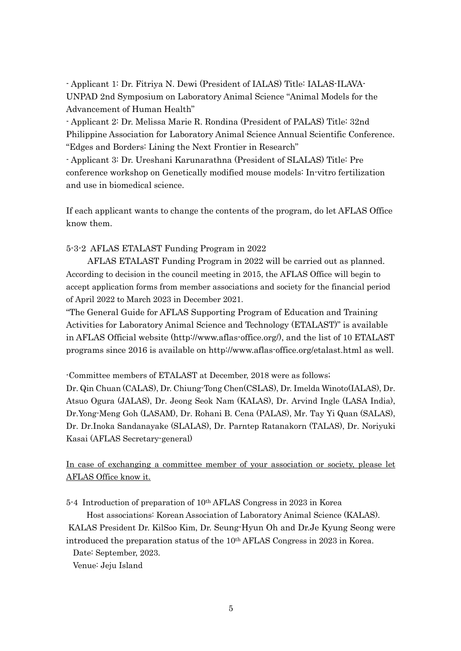- Applicant 1: Dr. Fitriya N. Dewi (President of IALAS) Title: IALAS-ILAVA-UNPAD 2nd Symposium on Laboratory Animal Science "Animal Models for the Advancement of Human Health"

- Applicant 2: Dr. Melissa Marie R. Rondina (President of PALAS) Title: 32nd Philippine Association for Laboratory Animal Science Annual Scientific Conference. "Edges and Borders: Lining the Next Frontier in Research"

- Applicant 3: Dr. Ureshani Karunarathna (President of SLALAS) Title: Pre conference workshop on Genetically modified mouse models: In-vitro fertilization and use in biomedical science.

If each applicant wants to change the contents of the program, do let AFLAS Office know them.

# 5-3-2 AFLAS ETALAST Funding Program in 2022

AFLAS ETALAST Funding Program in 2022 will be carried out as planned. According to decision in the council meeting in 2015, the AFLAS Office will begin to accept application forms from member associations and society for the financial period of April 2022 to March 2023 in December 2021.

"The General Guide for AFLAS Supporting Program of Education and Training Activities for Laboratory Animal Science and Technology (ETALAST)" is available in AFLAS Official website (http://www.aflas-office.org/), and the list of 10 ETALAST programs since 2016 is available on http://www.aflas-office.org/etalast.html as well.

-Committee members of ETALAST at December, 2018 were as follows;

Dr. Qin Chuan (CALAS), Dr. Chiung-Tong Chen(CSLAS), Dr. Imelda Winoto(IALAS), Dr. Atsuo Ogura (JALAS), Dr. Jeong Seok Nam (KALAS), Dr. Arvind Ingle (LASA India), Dr.Yong-Meng Goh (LASAM), Dr. Rohani B. Cena (PALAS), Mr. Tay Yi Quan (SALAS), Dr. Dr.Inoka Sandanayake (SLALAS), Dr. Parntep Ratanakorn (TALAS), Dr. Noriyuki Kasai (AFLAS Secretary-general)

In case of exchanging a committee member of your association or society, please let AFLAS Office know it.

5-4 Introduction of preparation of 10th AFLAS Congress in 2023 in Korea

Host associations: Korean Association of Laboratory Animal Science (KALAS). KALAS President Dr. KilSoo Kim, Dr. Seung-Hyun Oh and Dr.Je Kyung Seong were introduced the preparation status of the 10th AFLAS Congress in 2023 in Korea.

Date: September, 2023.

Venue: Jeju Island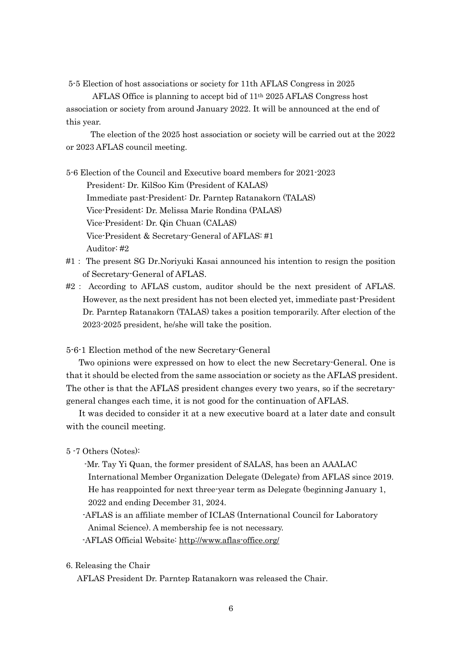5-5 Election of host associations or society for 11th AFLAS Congress in 2025

AFLAS Office is planning to accept bid of 11th 2025 AFLAS Congress host association or society from around January 2022. It will be announced at the end of this year.

The election of the 2025 host association or society will be carried out at the 2022 or 2023 AFLAS council meeting.

5-6 Election of the Council and Executive board members for 2021-2023 President: Dr. KilSoo Kim (President of KALAS) Immediate past-President: Dr. Parntep Ratanakorn (TALAS) Vice-President: Dr. Melissa Marie Rondina (PALAS) Vice-President: Dr. Qin Chuan (CALAS) Vice-President & Secretary-General of AFLAS: #1 Auditor: #2

- #1: The present SG Dr.Noriyuki Kasai announced his intention to resign the position of Secretary-General of AFLAS.
- #2: According to AFLAS custom, auditor should be the next president of AFLAS. However, as the next president has not been elected yet, immediate past-President Dr. Parntep Ratanakorn (TALAS) takes a position temporarily. After election of the 2023-2025 president, he/she will take the position.

5-6-1 Election method of the new Secretary-General

Two opinions were expressed on how to elect the new Secretary-General. One is that it should be elected from the same association or society as the AFLAS president. The other is that the AFLAS president changes every two years, so if the secretarygeneral changes each time, it is not good for the continuation of AFLAS.

It was decided to consider it at a new executive board at a later date and consult with the council meeting.

- 5 -7 Others (Notes):
	- -Mr. Tay Yi Quan, the former president of SALAS, has been an AAALAC
	- International Member Organization Delegate (Delegate) from AFLAS since 2019. He has reappointed for next three-year term as Delegate (beginning January 1, 2022 and ending December 31, 2024.
	- -AFLAS is an affiliate member of ICLAS (International Council for Laboratory Animal Science). A membership fee is not necessary.
	- -AFLAS Official Website: http://www.aflas-office.org/

6. Releasing the Chair

AFLAS President Dr. Parntep Ratanakorn was released the Chair.